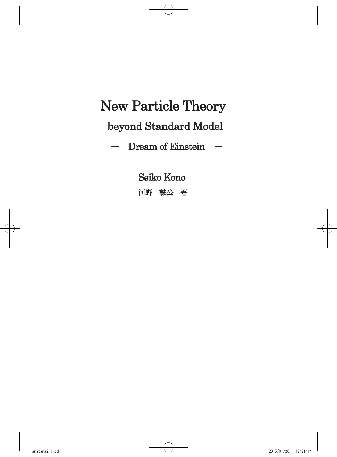# New Particle Theory

# beyond Standard Model

 $-$  Dream of Einstein  $-$ 

Seiko Kono

河野 誠公 著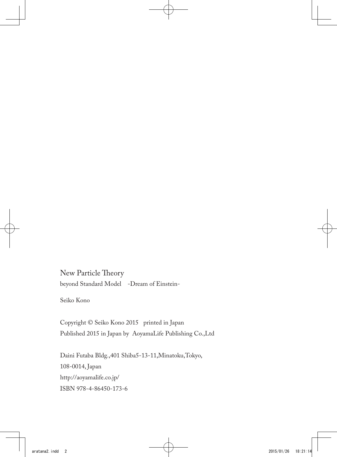New Particle Theory beyond Standard Model -Dream of Einstein-

Seiko Kono

Copyright © Seiko Kono 2015 printed in Japan Published 2015 in Japan by AoyamaLife Publishing Co.,Ltd

Daini Futaba Bldg.,401 Shiba5-13-11,Minatoku,Tokyo, 108-0014, Japan http://aoyamalife.co.jp/ ISBN 978-4-86450-173-6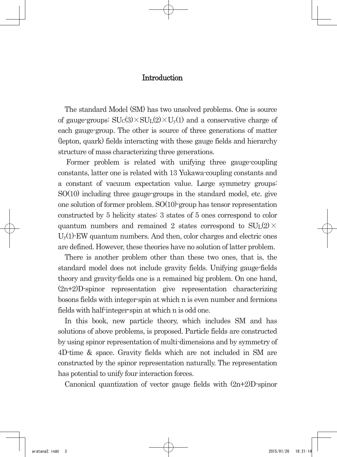#### **Introduction**

The standard Model (SM) has two unsolved problems. One is source of gauge-groups:  $SU<sub>C</sub>(3) \times SU<sub>L</sub>(2) \times U<sub>v</sub>(1)$  and a conservative charge of each gauge-group. The other is source of three generations of matter (lepton, quark) fields interacting with these gauge fields and hierarchy structure of mass characterizing three generations.

Former problem is related with unifying three gauge-coupling constants, latter one is related with 13 Yukawa-coupling constants and a constant of vacuum expectation value. Large symmetry groups: SO(10) including three gauge-groups in the standard model, etc. give one solution of former problem. SO(10)-group has tensor representation constructed by 5 helicity states: 3 states of 5 ones correspond to color quantum numbers and remained 2 states correspond to  $SU<sub>L</sub>(2)$  ×  $U_{y}(1)$ -EW quantum numbers. And then, color charges and electric ones are defined. However, these theories have no solution of latter problem.

There is another problem other than these two ones, that is, the standard model does not include gravity fields. Unifying gauge-fields theory and gravity-fields one is a remained big problem. On one hand, (2n+2)D-spinor representation give representation characterizing bosons fields with integer-spin at which n is even number and fermions fields with half-integer-spin at which n is odd one.

In this book, new particle theory, which includes SM and has solutions of above problems, is proposed. Particle fields are constructed by using spinor representation of multi-dimensions and by symmetry of 4D-time & space. Gravity fields which are not included in SM are constructed by the spinor representation naturally. The representation has potential to unify four interaction forces.

Canonical quantization of vector gauge fields with  $(2n+2)D$ -spinor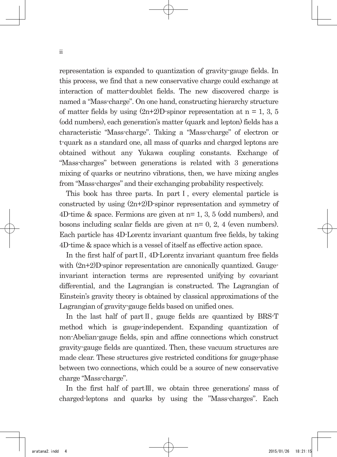representation is expanded to quantization of gravity-gauge fields. In this process, we find that a new conservative charge could exchange at interaction of matter-doublet fields. The new discovered charge is named a "Mass-charge". On one hand, constructing hierarchy structure of matter fields by using  $(2n+2)D$ -spinor representation at n = 1, 3, 5 (odd numbers), each generation's matter (quark and lepton) fields has a characteristic "Mass-charge". Taking a "Mass-charge" of electron or t-quark as a standard one, all mass of quarks and charged leptons are obtained without any Yukawa coupling constants. Exchange of "Mass-charges" between generations is related with 3 generations mixing of quarks or neutrino vibrations, then, we have mixing angles from "Mass-charges" and their exchanging probability respectively.

This book has three parts. In part I, every elemental particle is constructed by using (2n+2)D-spinor representation and symmetry of 4D-time & space. Fermions are given at n= 1, 3, 5 (odd numbers), and bosons including scalar fields are given at n= 0, 2, 4 (even numbers). Each particle has 4D-Lorentz invariant quantum free fields, by taking 4D-time & space which is a vessel of itself as effective action space.

In the first half of partⅡ, 4D-Lorentz invariant quantum free fields with  $(2n+2)$ D-spinor representation are canonically quantized. Gaugeinvariant interaction terms are represented unifying by covariant differential, and the Lagrangian is constructed. The Lagrangian of Einstein's gravity theory is obtained by classical approximations of the Lagrangian of gravity-gauge fields based on unified ones.

In the last half of partⅡ, gauge fields are quantized by BRS-T method which is gauge-independent. Expanding quantization of non-Abelian-gauge fields, spin and affine connections which construct gravity-gauge fields are quantized. Then, these vacuum structures are made clear. These structures give restricted conditions for gauge-phase between two connections, which could be a source of new conservative charge "Mass-charge".

In the first half of partⅢ, we obtain three generations' mass of charged-leptons and quarks by using the "Mass-charges". Each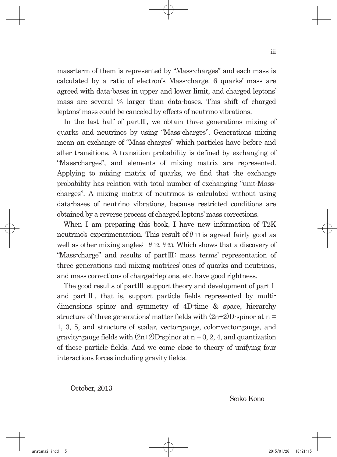mass-term of them is represented by "Mass-charges" and each mass is calculated by a ratio of electron's Mass-charge. 6 quarks' mass are agreed with data-bases in upper and lower limit, and charged leptons' mass are several % larger than data-bases. This shift of charged leptons' mass could be canceled by effects of neutrino vibrations.

In the last half of partⅢ, we obtain three generations mixing of quarks and neutrinos by using "Mass-charges". Generations mixing mean an exchange of "Mass-charges" which particles have before and after transitions. A transition probability is defined by exchanging of "Mass-charges", and elements of mixing matrix are represented. Applying to mixing matrix of quarks, we find that the exchange probability has relation with total number of exchanging "unit-Masscharges". A mixing matrix of neutrinos is calculated without using data-bases of neutrino vibrations, because restricted conditions are obtained by a reverse process of charged leptons' mass corrections.

When I am preparing this book, I have new information of T2K neutrino's experimentation. This result of  $\theta$  13 is agreed fairly good as well as other mixing angles:  $\theta$  12,  $\theta$  23. Which shows that a discovery of "Mass-charge" and results of partⅢ: mass terms' representation of three generations and mixing matrices' ones of quarks and neutrinos, and mass corrections of charged-leptons, etc. have good rightness.

The good results of partⅢ support theory and development of partⅠ and part II, that is, support particle fields represented by multidimensions spinor and symmetry of 4D-time & space, hierarchy structure of three generations' matter fields with  $(2n+2)D$ -spinor at n = 1, 3, 5, and structure of scalar, vector-gauge, color-vector-gauge, and gravity-gauge fields with  $(2n+2)D$ -spinor at  $n = 0, 2, 4$ , and quantization of these particle fields. And we come close to theory of unifying four interactions forces including gravity fields.

October, 2013

Seiko Kono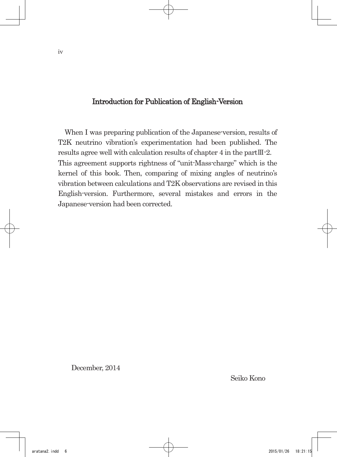#### Introduction for Publication of English-Version

When I was preparing publication of the Japanese-version, results of T2K neutrino vibration's experimentation had been published. The results agree well with calculation results of chapter 4 in the partⅢ-2. This agreement supports rightness of "unit-Mass-charge" which is the kernel of this book. Then, comparing of mixing angles of neutrino's vibration between calculations and T2K observations are revised in this English-version. Furthermore, several mistakes and errors in the Japanese-version had been corrected.

December, 2014

Seiko Kono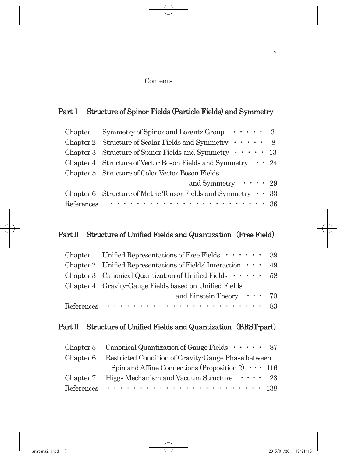#### Contents

# Part I Structure of Spinor Fields (Particle Fields) and Symmetry

|            | Chapter 1 Symmetry of Spinor and Lorentz Group $\cdots$ 3                |  |
|------------|--------------------------------------------------------------------------|--|
|            | Chapter 2 Structure of Scalar Fields and Symmetry $\cdots$ 8             |  |
|            | Chapter 3 Structure of Spinor Fields and Symmetry $\cdots$ 13            |  |
|            | Chapter 4 Structure of Vector Boson Fields and Symmetry $\cdot \cdot 24$ |  |
|            | Chapter 5 Structure of Color Vector Boson Fields                         |  |
|            | and Symmetry $\cdots$ 29                                                 |  |
|            | Chapter 6 Structure of Metric Tensor Fields and Symmetry $\cdot$ 33      |  |
| References |                                                                          |  |

### Part II Structure of Unified Fields and Quantization (Free Field)

| Chapter 1 Unified Representations of Free Fields $\cdots$ $\cdots$ 39 |  |
|-----------------------------------------------------------------------|--|
| Chapter 2 Unified Representations of Fields' Interaction $\cdots$ 49  |  |
| Chapter 3 Canonical Quantization of Unified Fields $\cdots$ 58        |  |
| Chapter 4 Gravity Gauge Fields based on Unified Fields                |  |
| and Einstein Theory $\cdots$ 70                                       |  |
|                                                                       |  |

# Part II Structure of Unified Fields and Quantization (BRST-part)

|           | Chapter 5 Canonical Quantization of Gauge Fields $\cdots$ 87                    |
|-----------|---------------------------------------------------------------------------------|
| Chapter 6 | Restricted Condition of Gravity-Gauge Phase between                             |
|           | Spin and Affine Connections (Proposition 2) $\cdots$ 116                        |
| Chapter 7 | Higgs Mechanism and Vacuum Structure $\cdots$ 123                               |
|           | References $\cdots \cdots \cdots \cdots \cdots \cdots \cdots \cdots \cdots$ 138 |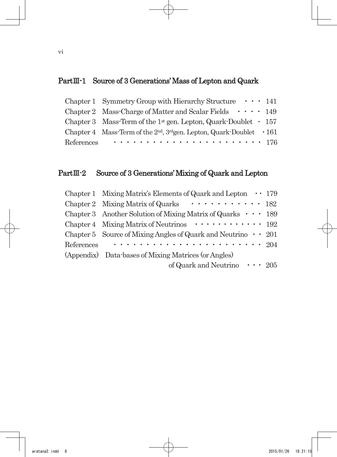# PartⅢ-1 Source of 3 Generations'Mass of Lepton and Quark

| Chapter 1 Symmetry Group with Hierarchy Structure $\cdots$ 141                    |  |
|-----------------------------------------------------------------------------------|--|
| Chapter 2 Mass-Charge of Matter and Scalar Fields $\cdots$ 149                    |  |
| Chapter 3 Mass-Term of the 1 <sup>st</sup> gen. Lepton, Quark-Doublet $\cdot$ 157 |  |
| Chapter 4 Mass-Term of the $2nd$ , $3ndgen$ . Lepton, Quark-Doublet $\cdot 161$   |  |
| References $\cdots \cdots \cdots \cdots \cdots \cdots \cdots \cdots 176$          |  |

# PartⅢ-2 Source of 3 Generations'Mixing of Quark and Lepton

|            | Chapter 1 Mixing Matrix's Elements of Quark and Lepton $\cdots$ 179       |  |
|------------|---------------------------------------------------------------------------|--|
|            | Chapter 2 Mixing Matrix of Quarks $\cdots \cdots \cdots \cdots$ 182       |  |
|            | Chapter 3 Another Solution of Mixing Matrix of Quarks $\cdots$ 189        |  |
|            | Chapter 4 Mixing Matrix of Neutrinos $\cdots \cdots \cdots \cdots$ 192    |  |
|            | Chapter 5 Source of Mixing Angles of Quark and Neutrino $\cdot \cdot 201$ |  |
| References |                                                                           |  |
|            | (Appendix) Data-bases of Mixing Matrices (or Angles)                      |  |
|            | of Quark and Neutrino $\cdots$ 205                                        |  |
|            |                                                                           |  |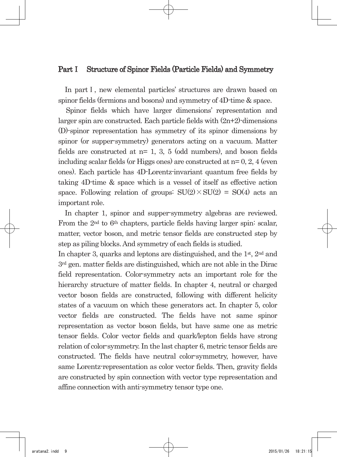#### PartⅠ Structure of Spinor Fields (Particle Fields) and Symmetry

In part I, new elemental particles' structures are drawn based on spinor fields (fermions and bosons) and symmetry of 4D-time & space.

Spinor fields which have larger dimensions' representation and larger spin are constructed. Each particle fields with  $(2n+2)$ -dimensions (D)-spinor representation has symmetry of its spinor dimensions by spinor (or supper-symmetry) generators acting on a vacuum. Matter fields are constructed at  $n=1$ , 3, 5 (odd numbers), and boson fields including scalar fields (or Higgs ones) are constructed at  $n=0, 2, 4$  (even ones). Each particle has 4D-Lorentz-invariant quantum free fields by taking 4D-time & space which is a vessel of itself as effective action space. Following relation of groups:  $SU(2) \times SU(2) = SO(4)$  acts an important role.

In chapter 1, spinor and supper-symmetry algebras are reviewed. From the 2nd to 6th chapters, particle fields having larger spin: scalar, matter, vector boson, and metric tensor fields are constructed step by step as piling blocks. And symmetry of each fields is studied.

In chapter 3, quarks and leptons are distinguished, and the 1<sup>st</sup>, 2<sup>nd</sup> and 3rd gen. matter fields are distinguished, which are not able in the Dirac field representation. Color-symmetry acts an important role for the hierarchy structure of matter fields. In chapter 4, neutral or charged vector boson fields are constructed, following with different helicity states of a vacuum on which these generators act. In chapter 5, color vector fields are constructed. The fields have not same spinor representation as vector boson fields, but have same one as metric tensor fields. Color vector fields and quark/lepton fields have strong relation of color-symmetry. In the last chapter 6, metric tensor fields are constructed. The fields have neutral color-symmetry, however, have same Lorentz-representation as color vector fields. Then, gravity fields are constructed by spin connection with vector type representation and affine connection with anti-symmetry tensor type one.